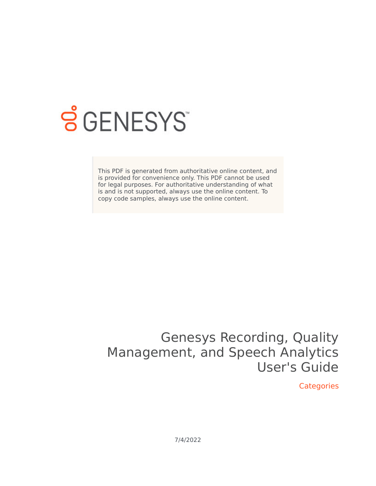

## **SGENESYS**

This PDF is generated from authoritative online content, and is provided for convenience only. This PDF cannot be used for legal purposes. For authoritative understanding of what is and is not supported, always use the online content. To copy code samples, always use the online content.

## Genesys Recording, Quality Management, and Speech Analytics User's Guide

**Categories** 

7/4/2022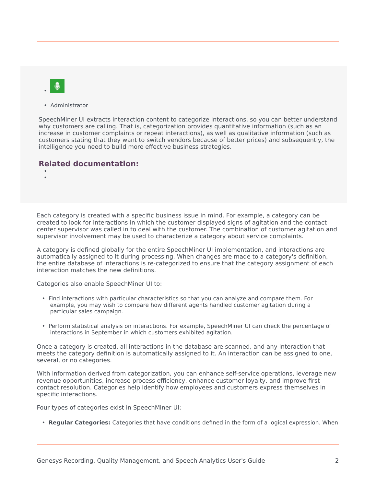• Administrator

SpeechMiner UI extracts interaction content to categorize interactions, so you can better understand why customers are calling. That is, categorization provides quantitative information (such as an increase in customer complaints or repeat interactions), as well as qualitative information (such as customers stating that they want to switch vendors because of better prices) and subsequently, the intelligence you need to build more effective business strategies.

## **Related documentation:**

• •

Each category is created with a specific business issue in mind. For example, a category can be created to look for interactions in which the customer displayed signs of agitation and the contact center supervisor was called in to deal with the customer. The combination of customer agitation and supervisor involvement may be used to characterize a category about service complaints.

A category is defined globally for the entire SpeechMiner UI implementation, and interactions are automatically assigned to it during processing. When changes are made to a category's definition, the entire database of interactions is re-categorized to ensure that the category assignment of each interaction matches the new definitions.

Categories also enable SpeechMiner UI to:

- Find interactions with particular characteristics so that you can analyze and compare them. For example, you may wish to compare how different agents handled customer agitation during a particular sales campaign.
- Perform statistical analysis on interactions. For example, SpeechMiner UI can check the percentage of interactions in September in which customers exhibited agitation.

Once a category is created, all interactions in the database are scanned, and any interaction that meets the category definition is automatically assigned to it. An interaction can be assigned to one, several, or no categories.

With information derived from categorization, you can enhance self-service operations, leverage new revenue opportunities, increase process efficiency, enhance customer loyalty, and improve first contact resolution. Categories help identify how employees and customers express themselves in specific interactions.

Four types of categories exist in SpeechMiner UI:

• **Regular Categories:** Categories that have conditions defined in the form of a logical expression. When